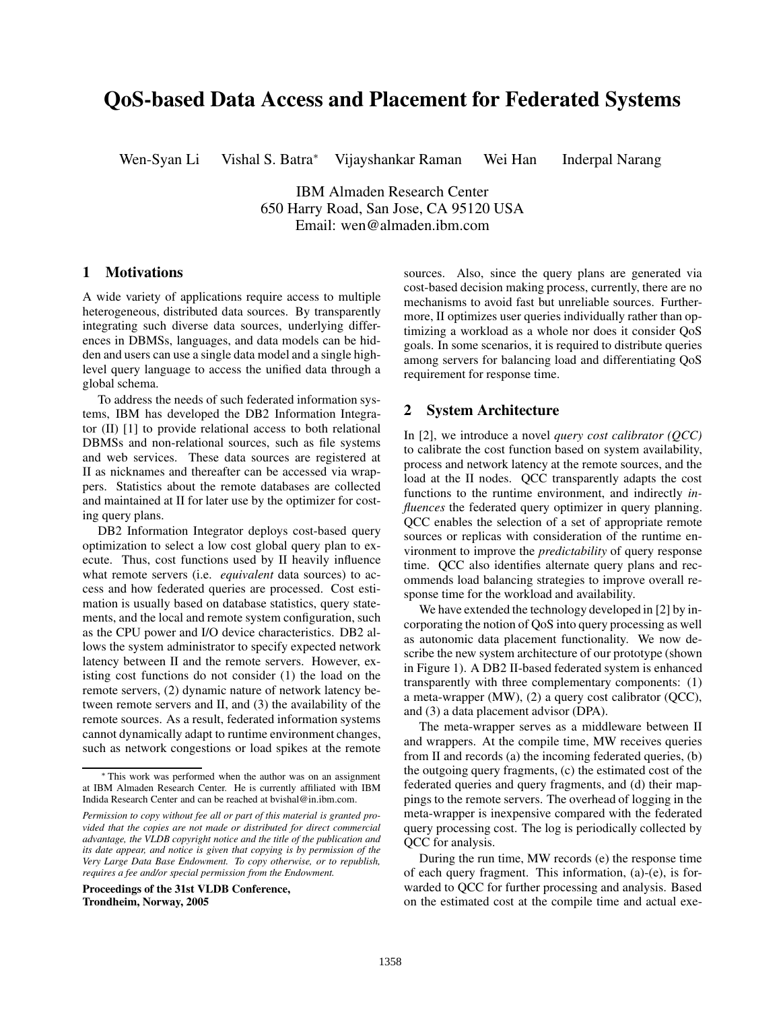# **QoS-based Data Access and Placement for Federated Systems**

Wen-Syan Li Vishal S. Batra<sup>∗</sup> Vijayshankar Raman Wei Han Inderpal Narang

IBM Almaden Research Center 650 Harry Road, San Jose, CA 95120 USA Email: wen@almaden.ibm.com

### **1 Motivations**

A wide variety of applications require access to multiple heterogeneous, distributed data sources. By transparently integrating such diverse data sources, underlying differences in DBMSs, languages, and data models can be hidden and users can use a single data model and a single highlevel query language to access the unified data through a global schema.

To address the needs of such federated information systems, IBM has developed the DB2 Information Integrator (II) [1] to provide relational access to both relational DBMSs and non-relational sources, such as file systems and web services. These data sources are registered at II as nicknames and thereafter can be accessed via wrappers. Statistics about the remote databases are collected and maintained at II for later use by the optimizer for costing query plans.

DB2 Information Integrator deploys cost-based query optimization to select a low cost global query plan to execute. Thus, cost functions used by II heavily influence what remote servers (i.e. *equivalent* data sources) to access and how federated queries are processed. Cost estimation is usually based on database statistics, query statements, and the local and remote system configuration, such as the CPU power and I/O device characteristics. DB2 allows the system administrator to specify expected network latency between II and the remote servers. However, existing cost functions do not consider (1) the load on the remote servers, (2) dynamic nature of network latency between remote servers and II, and (3) the availability of the remote sources. As a result, federated information systems cannot dynamically adapt to runtime environment changes, such as network congestions or load spikes at the remote

**Proceedings of the 31st VLDB Conference, Trondheim, Norway, 2005**

sources. Also, since the query plans are generated via cost-based decision making process, currently, there are no mechanisms to avoid fast but unreliable sources. Furthermore, II optimizes user queries individually rather than optimizing a workload as a whole nor does it consider QoS goals. In some scenarios, it is required to distribute queries among servers for balancing load and differentiating QoS requirement for response time.

#### **2 System Architecture**

In [2], we introduce a novel *query cost calibrator (QCC)* to calibrate the cost function based on system availability, process and network latency at the remote sources, and the load at the II nodes. QCC transparently adapts the cost functions to the runtime environment, and indirectly *influences* the federated query optimizer in query planning. QCC enables the selection of a set of appropriate remote sources or replicas with consideration of the runtime environment to improve the *predictability* of query response time. QCC also identifies alternate query plans and recommends load balancing strategies to improve overall response time for the workload and availability.

We have extended the technology developed in [2] by incorporating the notion of QoS into query processing as well as autonomic data placement functionality. We now describe the new system architecture of our prototype (shown in Figure 1). A DB2 II-based federated system is enhanced transparently with three complementary components: (1) a meta-wrapper (MW), (2) a query cost calibrator (QCC), and (3) a data placement advisor (DPA).

The meta-wrapper serves as a middleware between II and wrappers. At the compile time, MW receives queries from II and records (a) the incoming federated queries, (b) the outgoing query fragments, (c) the estimated cost of the federated queries and query fragments, and (d) their mappings to the remote servers. The overhead of logging in the meta-wrapper is inexpensive compared with the federated query processing cost. The log is periodically collected by QCC for analysis.

During the run time, MW records (e) the response time of each query fragment. This information, (a)-(e), is forwarded to QCC for further processing and analysis. Based on the estimated cost at the compile time and actual exe-

<sup>∗</sup> This work was performed when the author was on an assignment at IBM Almaden Research Center. He is currently affiliated with IBM Indida Research Center and can be reached at bvishal@in.ibm.com.

*Permission to copy without fee all or part of this material is granted provided that the copies are not made or distributed for direct commercial advantage, the VLDB copyright notice and the title of the publication and its date appear, and notice is given that copying is by permission of the Very Large Data Base Endowment. To copy otherwise, or to republish, requires a fee and/or special permission from the Endowment.*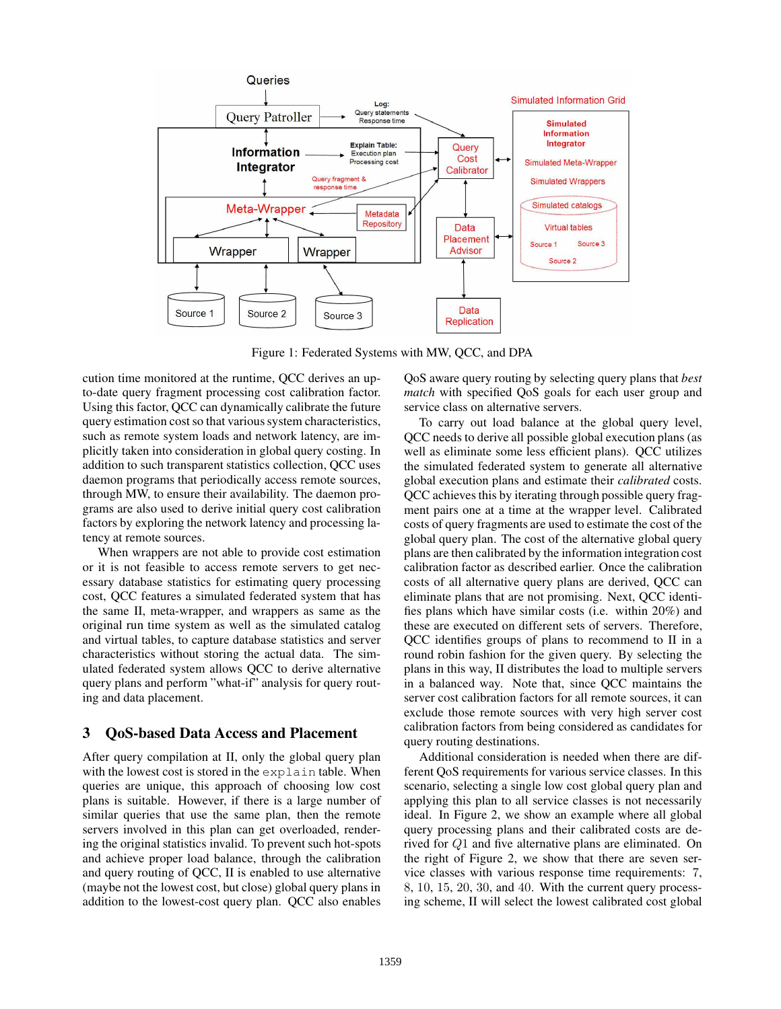

Figure 1: Federated Systems with MW, QCC, and DPA

cution time monitored at the runtime, QCC derives an upto-date query fragment processing cost calibration factor. Using this factor, QCC can dynamically calibrate the future query estimation cost so that various system characteristics, such as remote system loads and network latency, are implicitly taken into consideration in global query costing. In addition to such transparent statistics collection, QCC uses daemon programs that periodically access remote sources, through MW, to ensure their availability. The daemon programs are also used to derive initial query cost calibration factors by exploring the network latency and processing latency at remote sources.

When wrappers are not able to provide cost estimation or it is not feasible to access remote servers to get necessary database statistics for estimating query processing cost, QCC features a simulated federated system that has the same II, meta-wrapper, and wrappers as same as the original run time system as well as the simulated catalog and virtual tables, to capture database statistics and server characteristics without storing the actual data. The simulated federated system allows QCC to derive alternative query plans and perform "what-if" analysis for query routing and data placement.

## **3 QoS-based Data Access and Placement**

After query compilation at II, only the global query plan with the lowest cost is stored in the explain table. When queries are unique, this approach of choosing low cost plans is suitable. However, if there is a large number of similar queries that use the same plan, then the remote servers involved in this plan can get overloaded, rendering the original statistics invalid. To prevent such hot-spots and achieve proper load balance, through the calibration and query routing of QCC, II is enabled to use alternative (maybe not the lowest cost, but close) global query plans in addition to the lowest-cost query plan. QCC also enables

QoS aware query routing by selecting query plans that *best match* with specified QoS goals for each user group and service class on alternative servers.

To carry out load balance at the global query level, QCC needs to derive all possible global execution plans (as well as eliminate some less efficient plans). QCC utilizes the simulated federated system to generate all alternative global execution plans and estimate their *calibrated* costs. QCC achieves this by iterating through possible query fragment pairs one at a time at the wrapper level. Calibrated costs of query fragments are used to estimate the cost of the global query plan. The cost of the alternative global query plans are then calibrated by the information integration cost calibration factor as described earlier. Once the calibration costs of all alternative query plans are derived, QCC can eliminate plans that are not promising. Next, QCC identifies plans which have similar costs (i.e. within 20%) and these are executed on different sets of servers. Therefore, QCC identifies groups of plans to recommend to II in a round robin fashion for the given query. By selecting the plans in this way, II distributes the load to multiple servers in a balanced way. Note that, since QCC maintains the server cost calibration factors for all remote sources, it can exclude those remote sources with very high server cost calibration factors from being considered as candidates for query routing destinations.

Additional consideration is needed when there are different QoS requirements for various service classes. In this scenario, selecting a single low cost global query plan and applying this plan to all service classes is not necessarily ideal. In Figure 2, we show an example where all global query processing plans and their calibrated costs are derived for Q1 and five alternative plans are eliminated. On the right of Figure 2, we show that there are seven service classes with various response time requirements: 7, 8, 10, 15, 20, 30, and 40. With the current query processing scheme, II will select the lowest calibrated cost global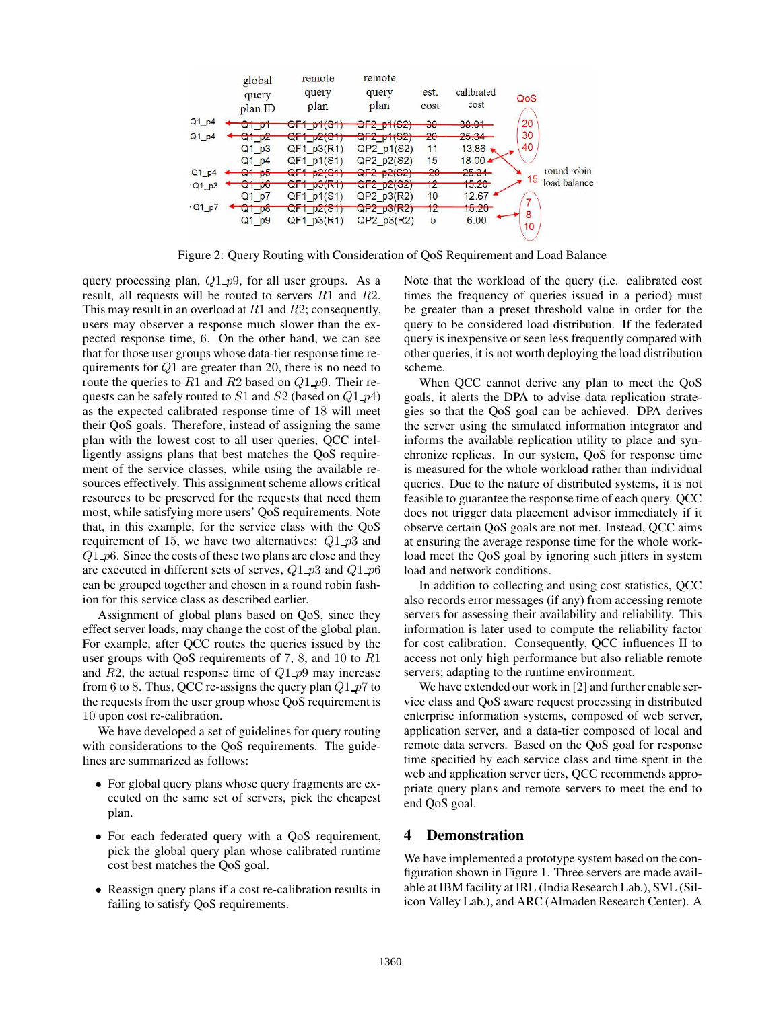

Figure 2: Query Routing with Consideration of QoS Requirement and Load Balance

query processing plan,  $Q1_p9$ , for all user groups. As a result, all requests will be routed to servers R1 and R2. This may result in an overload at  $R1$  and  $R2$ ; consequently, users may observer a response much slower than the expected response time, 6. On the other hand, we can see that for those user groups whose data-tier response time requirements for  $Q1$  are greater than 20, there is no need to route the queries to R1 and R2 based on  $Q1$  p9. Their requests can be safely routed to  $S1$  and  $S2$  (based on  $Q1$   $p4$ ) as the expected calibrated response time of 18 will meet their QoS goals. Therefore, instead of assigning the same plan with the lowest cost to all user queries, QCC intelligently assigns plans that best matches the QoS requirement of the service classes, while using the available resources effectively. This assignment scheme allows critical resources to be preserved for the requests that need them most, while satisfying more users' QoS requirements. Note that, in this example, for the service class with the QoS requirement of 15, we have two alternatives:  $Q1_p$  *p*3 and  $Q1$  p6. Since the costs of these two plans are close and they are executed in different sets of serves,  $Q1$   $p3$  and  $Q1$   $p6$ can be grouped together and chosen in a round robin fashion for this service class as described earlier.

Assignment of global plans based on QoS, since they effect server loads, may change the cost of the global plan. For example, after QCC routes the queries issued by the user groups with QoS requirements of 7, 8, and 10 to R1 and  $R2$ , the actual response time of  $Q1$   $p9$  may increase from 6 to 8. Thus, QCC re-assigns the query plan  $Q1$   $p7$  to the requests from the user group whose QoS requirement is 10 upon cost re-calibration.

We have developed a set of guidelines for query routing with considerations to the OoS requirements. The guidelines are summarized as follows:

- For global query plans whose query fragments are executed on the same set of servers, pick the cheapest plan.
- For each federated query with a QoS requirement, pick the global query plan whose calibrated runtime cost best matches the QoS goal.
- Reassign query plans if a cost re-calibration results in failing to satisfy QoS requirements.

Note that the workload of the query (i.e. calibrated cost times the frequency of queries issued in a period) must be greater than a preset threshold value in order for the query to be considered load distribution. If the federated query is inexpensive or seen less frequently compared with other queries, it is not worth deploying the load distribution scheme.

When QCC cannot derive any plan to meet the QoS goals, it alerts the DPA to advise data replication strategies so that the QoS goal can be achieved. DPA derives the server using the simulated information integrator and informs the available replication utility to place and synchronize replicas. In our system, QoS for response time is measured for the whole workload rather than individual queries. Due to the nature of distributed systems, it is not feasible to guarantee the response time of each query. QCC does not trigger data placement advisor immediately if it observe certain QoS goals are not met. Instead, QCC aims at ensuring the average response time for the whole workload meet the QoS goal by ignoring such jitters in system load and network conditions.

In addition to collecting and using cost statistics, QCC also records error messages (if any) from accessing remote servers for assessing their availability and reliability. This information is later used to compute the reliability factor for cost calibration. Consequently, QCC influences II to access not only high performance but also reliable remote servers; adapting to the runtime environment.

We have extended our work in [2] and further enable service class and QoS aware request processing in distributed enterprise information systems, composed of web server, application server, and a data-tier composed of local and remote data servers. Based on the QoS goal for response time specified by each service class and time spent in the web and application server tiers, QCC recommends appropriate query plans and remote servers to meet the end to end QoS goal.

### **4 Demonstration**

We have implemented a prototype system based on the configuration shown in Figure 1. Three servers are made available at IBM facility at IRL (India Research Lab.), SVL (Silicon Valley Lab.), and ARC (Almaden Research Center). A